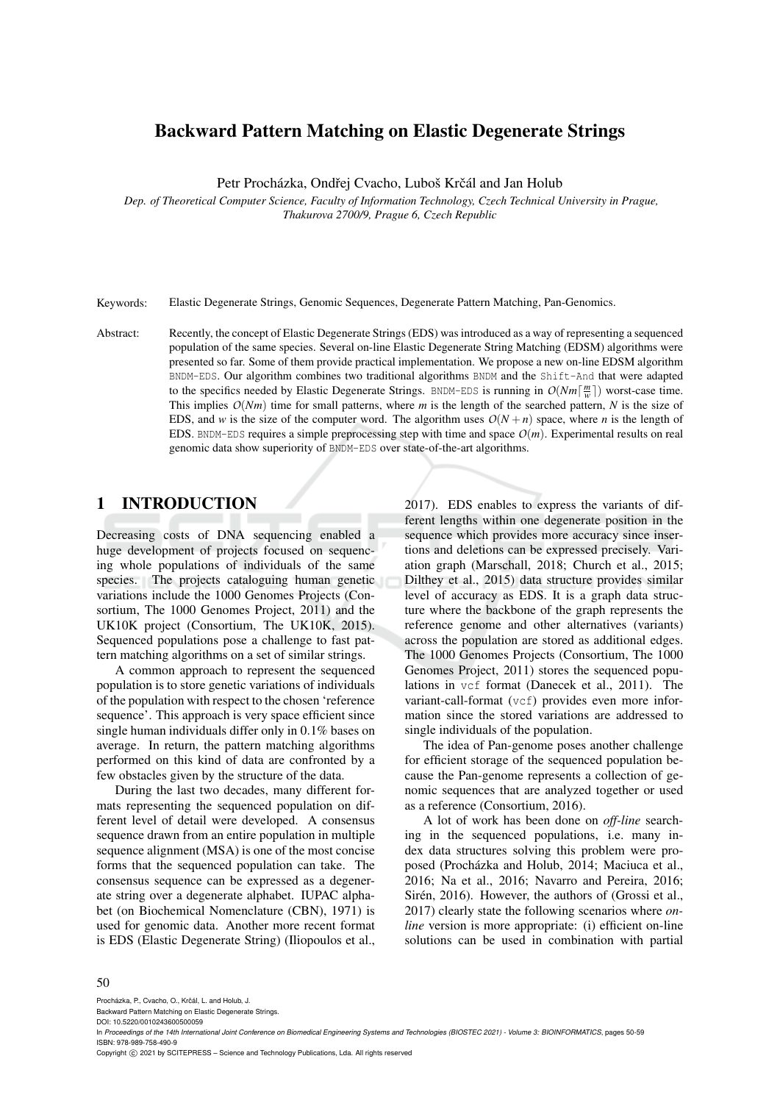# Backward Pattern Matching on Elastic Degenerate Strings

Petr Procházka, Ondřej Cvacho, Luboš Krčál and Jan Holub

*Dep. of Theoretical Computer Science, Faculty of Information Technology, Czech Technical University in Prague, Thakurova 2700/9, Prague 6, Czech Republic*

Keywords: Elastic Degenerate Strings, Genomic Sequences, Degenerate Pattern Matching, Pan-Genomics.

Abstract: Recently, the concept of Elastic Degenerate Strings (EDS) was introduced as a way of representing a sequenced population of the same species. Several on-line Elastic Degenerate String Matching (EDSM) algorithms were presented so far. Some of them provide practical implementation. We propose a new on-line EDSM algorithm BNDM-EDS. Our algorithm combines two traditional algorithms BNDM and the Shift-And that were adapted to the specifics needed by Elastic Degenerate Strings. BNDM-EDS is running in  $O(Nm\lceil \frac{m}{w} \rceil)$  worst-case time. This implies *O*(*Nm*) time for small patterns, where *m* is the length of the searched pattern, *N* is the size of EDS, and *w* is the size of the computer word. The algorithm uses  $O(N+n)$  space, where *n* is the length of EDS. BNDM-EDS requires a simple preprocessing step with time and space  $O(m)$ . Experimental results on real genomic data show superiority of BNDM-EDS over state-of-the-art algorithms.

# 1 INTRODUCTION

Decreasing costs of DNA sequencing enabled a huge development of projects focused on sequencing whole populations of individuals of the same species. The projects cataloguing human genetic variations include the 1000 Genomes Projects (Consortium, The 1000 Genomes Project, 2011) and the UK10K project (Consortium, The UK10K, 2015). Sequenced populations pose a challenge to fast pattern matching algorithms on a set of similar strings.

A common approach to represent the sequenced population is to store genetic variations of individuals of the population with respect to the chosen 'reference sequence'. This approach is very space efficient since single human individuals differ only in 0.1% bases on average. In return, the pattern matching algorithms performed on this kind of data are confronted by a few obstacles given by the structure of the data.

During the last two decades, many different formats representing the sequenced population on different level of detail were developed. A consensus sequence drawn from an entire population in multiple sequence alignment (MSA) is one of the most concise forms that the sequenced population can take. The consensus sequence can be expressed as a degenerate string over a degenerate alphabet. IUPAC alphabet (on Biochemical Nomenclature (CBN), 1971) is used for genomic data. Another more recent format is EDS (Elastic Degenerate String) (Iliopoulos et al.,

2017). EDS enables to express the variants of different lengths within one degenerate position in the sequence which provides more accuracy since insertions and deletions can be expressed precisely. Variation graph (Marschall, 2018; Church et al., 2015; Dilthey et al., 2015) data structure provides similar level of accuracy as EDS. It is a graph data structure where the backbone of the graph represents the reference genome and other alternatives (variants) across the population are stored as additional edges. The 1000 Genomes Projects (Consortium, The 1000 Genomes Project, 2011) stores the sequenced populations in vcf format (Danecek et al., 2011). The variant-call-format (vcf) provides even more information since the stored variations are addressed to single individuals of the population.

The idea of Pan-genome poses another challenge for efficient storage of the sequenced population because the Pan-genome represents a collection of genomic sequences that are analyzed together or used as a reference (Consortium, 2016).

A lot of work has been done on *off-line* searching in the sequenced populations, i.e. many index data structures solving this problem were proposed (Procházka and Holub, 2014; Maciuca et al., 2016; Na et al., 2016; Navarro and Pereira, 2016; Sirén, 2016). However, the authors of (Grossi et al., 2017) clearly state the following scenarios where *online* version is more appropriate: (i) efficient on-line solutions can be used in combination with partial

#### 50

Procházka, P., Cvacho, O., Krčál, L. and Holub, J.

Backward Pattern Matching on Elastic Degenerate Strings.

Copyright (C) 2021 by SCITEPRESS - Science and Technology Publications, Lda. All rights reserved

DOI: 10.5220/0010243600500059

In Proceedings of the 14th International Joint Conference on Biomedical Engineering Systems and Technologies (BIOSTEC 2021) - Volume 3: BIOINFORMATICS, pages 50-59 ISBN: 978-989-758-490-9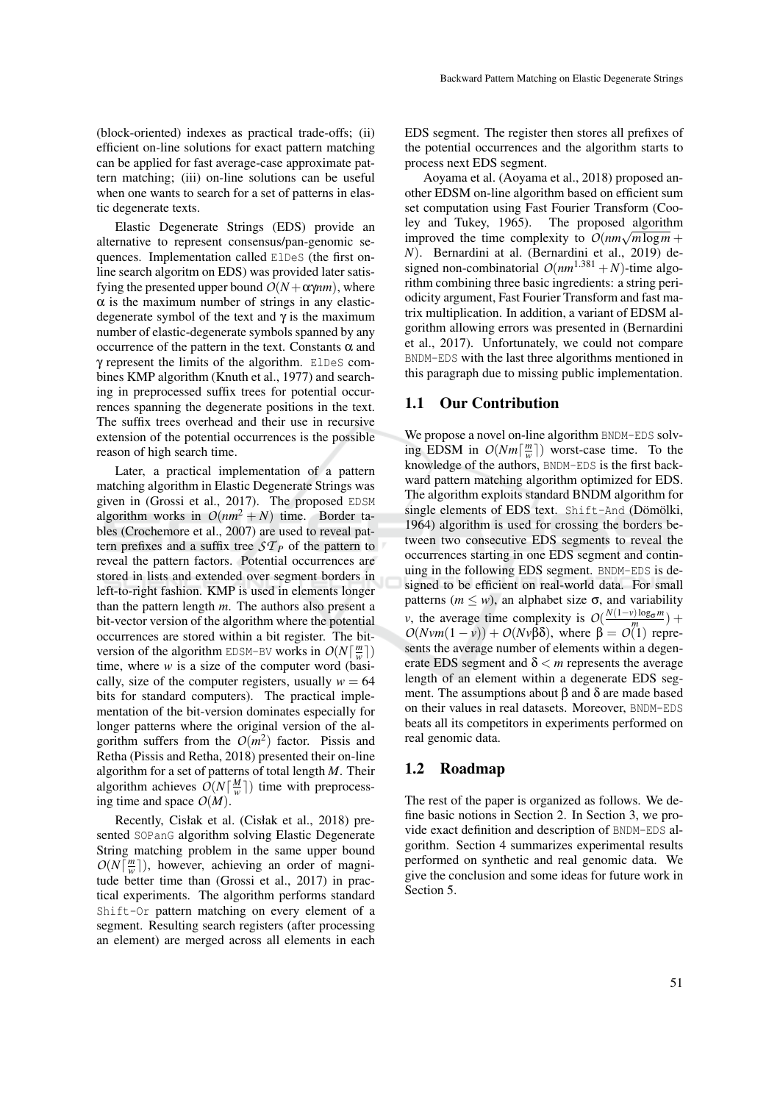(block-oriented) indexes as practical trade-offs; (ii) efficient on-line solutions for exact pattern matching can be applied for fast average-case approximate pattern matching; (iii) on-line solutions can be useful when one wants to search for a set of patterns in elastic degenerate texts.

Elastic Degenerate Strings (EDS) provide an alternative to represent consensus/pan-genomic sequences. Implementation called ElDeS (the first online search algoritm on EDS) was provided later satisfying the presented upper bound  $O(N + \alpha \gamma nm)$ , where  $\alpha$  is the maximum number of strings in any elasticdegenerate symbol of the text and  $\gamma$  is the maximum number of elastic-degenerate symbols spanned by any occurrence of the pattern in the text. Constants α and γ represent the limits of the algorithm. ElDeS combines KMP algorithm (Knuth et al., 1977) and searching in preprocessed suffix trees for potential occurrences spanning the degenerate positions in the text. The suffix trees overhead and their use in recursive extension of the potential occurrences is the possible reason of high search time.

Later, a practical implementation of a pattern matching algorithm in Elastic Degenerate Strings was given in (Grossi et al., 2017). The proposed EDSM algorithm works in  $O(nm^2 + N)$  time. Border tables (Crochemore et al., 2007) are used to reveal pattern prefixes and a suffix tree  $ST_P$  of the pattern to reveal the pattern factors. Potential occurrences are stored in lists and extended over segment borders in left-to-right fashion. KMP is used in elements longer than the pattern length *m*. The authors also present a bit-vector version of the algorithm where the potential occurrences are stored within a bit register. The bitversion of the algorithm EDSM-BV works in  $O(N\left\lceil \frac{m}{w} \right\rceil)$ time, where *w* is a size of the computer word (basically, size of the computer registers, usually  $w = 64$ bits for standard computers). The practical implementation of the bit-version dominates especially for longer patterns where the original version of the algorithm suffers from the  $O(m^2)$  factor. Pissis and Retha (Pissis and Retha, 2018) presented their on-line algorithm for a set of patterns of total length *M*. Their algorithm achieves  $O(N \frac{M}{w})$  time with preprocessing time and space  $O(M)$ .

Recently, Cisłak et al. (Cisłak et al., 2018) presented SOPanG algorithm solving Elastic Degenerate String matching problem in the same upper bound  $O(N\lceil \frac{m}{w} \rceil)$ , however, achieving an order of magnitude better time than (Grossi et al., 2017) in practical experiments. The algorithm performs standard Shift-Or pattern matching on every element of a segment. Resulting search registers (after processing an element) are merged across all elements in each

EDS segment. The register then stores all prefixes of the potential occurrences and the algorithm starts to process next EDS segment.

Aoyama et al. (Aoyama et al., 2018) proposed another EDSM on-line algorithm based on efficient sum set computation using Fast Fourier Transform (Cooley and Tukey, 1965). The proposed algorithm improved the time complexity to  $O(nm\sqrt{m\log m} +$ *N*). Bernardini at al. (Bernardini et al., 2019) designed non-combinatorial  $O(nm^{1.381} + N)$ -time algorithm combining three basic ingredients: a string periodicity argument, Fast Fourier Transform and fast matrix multiplication. In addition, a variant of EDSM algorithm allowing errors was presented in (Bernardini et al., 2017). Unfortunately, we could not compare BNDM-EDS with the last three algorithms mentioned in this paragraph due to missing public implementation.

#### 1.1 Our Contribution

We propose a novel on-line algorithm BNDM-EDS solving EDSM in  $O(Nm\lceil \frac{m}{w} \rceil)$  worst-case time. To the knowledge of the authors, BNDM-EDS is the first backward pattern matching algorithm optimized for EDS. The algorithm exploits standard BNDM algorithm for single elements of EDS text.  $Shift$ -And (Dömölki, 1964) algorithm is used for crossing the borders between two consecutive EDS segments to reveal the occurrences starting in one EDS segment and continuing in the following EDS segment. BNDM-EDS is designed to be efficient on real-world data. For small patterns ( $m \leq w$ ), an alphabet size  $\sigma$ , and variability *v*, the average time complexity is  $O(\frac{N(1-\nu)\log_{\sigma}m}{m})$  +  $O(Nvm(1-v)) + O(Nv\beta\delta)$ , where  $\beta = O(1)$  represents the average number of elements within a degenerate EDS segment and  $\delta < m$  represents the average length of an element within a degenerate EDS segment. The assumptions about β and δ are made based on their values in real datasets. Moreover, BNDM-EDS beats all its competitors in experiments performed on real genomic data.

## 1.2 Roadmap

The rest of the paper is organized as follows. We define basic notions in Section 2. In Section 3, we provide exact definition and description of BNDM-EDS algorithm. Section 4 summarizes experimental results performed on synthetic and real genomic data. We give the conclusion and some ideas for future work in Section 5.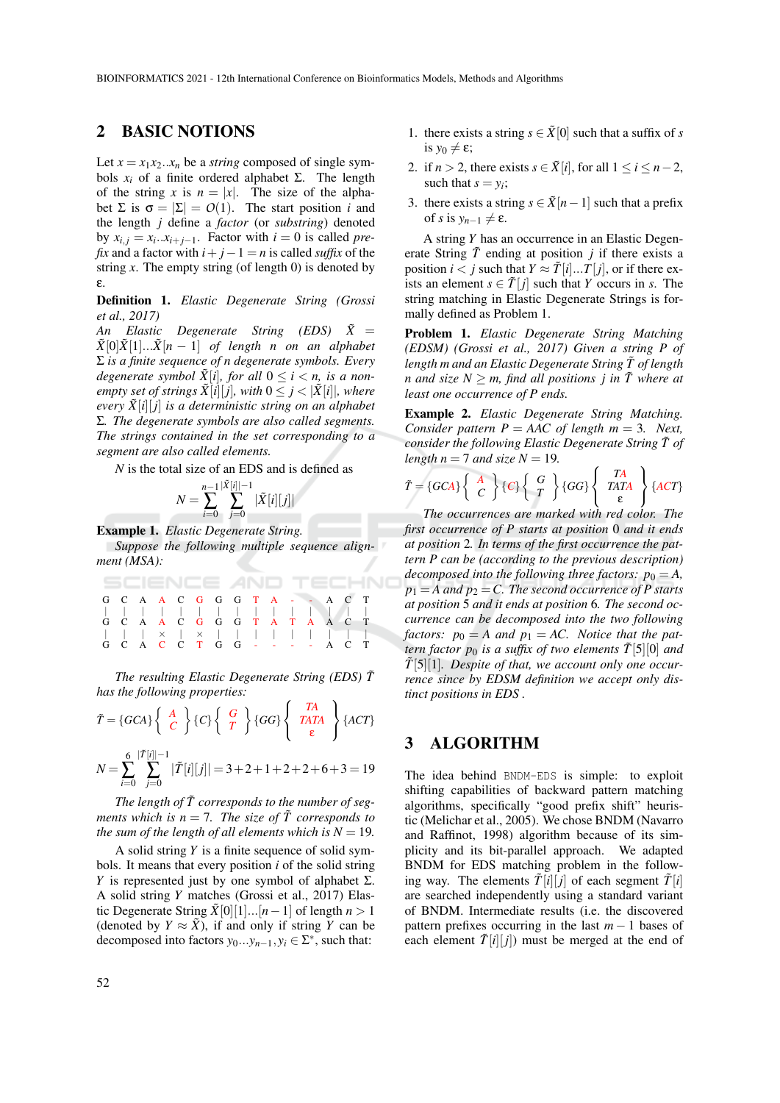## 2 BASIC NOTIONS

Let  $x = x_1 x_2 \ldots x_n$  be a *string* composed of single symbols  $x_i$  of a finite ordered alphabet  $\Sigma$ . The length of the string *x* is  $n = |x|$ . The size of the alphabet  $\Sigma$  is  $\sigma = |\Sigma| = O(1)$ . The start position *i* and the length *j* define a *factor* (or *substring*) denoted by  $x_{i,j} = x_i \cdot x_{i+j-1}$ . Factor with  $i = 0$  is called *prefix* and a factor with  $i + j - 1 = n$  is called *suffix* of the string  $\chi$ . The empty string (of length 0) is denoted by ε.

Definition 1. *Elastic Degenerate String (Grossi et al., 2017)*

*An Elastic Degenerate String (EDS) X*˜ =  $\tilde{X}[0]\tilde{X}[1]... \tilde{X}[n-1]$  *of length n on an alphabet* Σ *is a finite sequence of n degenerate symbols. Every degenerate symbol*  $\tilde{X}[i]$ *, for all*  $0 \le i < n$ *, is a nonempty set of strings*  $\tilde{X}[i][j]$ *, with*  $0 \leq j < |\tilde{X}[i]|$ *, where every X*˜[*i*][ *j*] *is a deterministic string on an alphabet* Σ*. The degenerate symbols are also called segments. The strings contained in the set corresponding to a segment are also called elements.*

*N* is the total size of an EDS and is defined as

$$
N = \sum_{i=0}^{n-1} \sum_{j=0}^{|\tilde{X}[i]|-1} |\tilde{X}[i][j]|
$$

Example 1. *Elastic Degenerate String. Suppose the following multiple sequence alignment (MSA):*

|  | <b>SCIENCE AND TECHN</b>      |  |  |  |  |  |  |
|--|-------------------------------|--|--|--|--|--|--|
|  | G C A A C G G G T A - - A C T |  |  |  |  |  |  |
|  |                               |  |  |  |  |  |  |
|  | G C A A C G G G T A T A A C T |  |  |  |  |  |  |
|  | x   x                         |  |  |  |  |  |  |
|  | G C A C C T G G - - - - A C T |  |  |  |  |  |  |

*The resulting Elastic Degenerate String (EDS) T*˜ *has the following properties:*

$$
\tilde{T} = \{GCA\} \left\{ \begin{array}{c} A \\ C \end{array} \right\} \{C\} \left\{ \begin{array}{c} G \\ T \end{array} \right\} \{GG\} \left\{ \begin{array}{c} TA \\ TATA \\ \epsilon \end{array} \right\} \{ACT\}
$$
\n
$$
N = \sum_{i=0}^{6} \sum_{j=0}^{|\tilde{T}[i]|-1} |\tilde{T}[i][j]| = 3 + 2 + 1 + 2 + 2 + 6 + 3 = 19
$$

The length of  $\tilde{T}$  corresponds to the number of seg*ments which is n* = 7. The size of  $\tilde{T}$  corresponds to *the sum of the length of all elements which is*  $N = 19$ *.* 

A solid string *Y* is a finite sequence of solid symbols. It means that every position *i* of the solid string *Y* is represented just by one symbol of alphabet  $\Sigma$ . A solid string *Y* matches (Grossi et al., 2017) Elastic Degenerate String  $\tilde{X}[0][1]...[n-1]$  of length  $n > 1$ (denoted by  $Y \approx \tilde{X}$ ), if and only if string *Y* can be decomposed into factors  $y_0...y_{n-1}, y_i \in \Sigma^*$ , such that:

- 1. there exists a string  $s \in \tilde{X}[0]$  such that a suffix of *s* is  $y_0 \neq \varepsilon$ ;
- 2. if  $n > 2$ , there exists  $s \in \tilde{X}[i]$ , for all  $1 \le i \le n-2$ , such that  $s = y_i$ ;
- 3. there exists a string  $s \in \tilde{X}[n-1]$  such that a prefix of *s* is  $y_{n-1} \neq \varepsilon$ .

A string *Y* has an occurrence in an Elastic Degenerate String  $\tilde{T}$  ending at position *j* if there exists a position  $i < j$  such that  $Y \approx \tilde{T}[i]...T[j]$ , or if there exists an element  $s \in \tilde{T}[j]$  such that *Y* occurs in *s*. The string matching in Elastic Degenerate Strings is formally defined as Problem 1.

Problem 1. *Elastic Degenerate String Matching (EDSM) (Grossi et al., 2017) Given a string P of length m and an Elastic Degenerate String*  $\tilde{T}$  *of length n* and size  $N \ge m$ , find all positions *j* in  $\tilde{T}$  where at *least one occurrence of P ends.*

Example 2. *Elastic Degenerate String Matching. Consider pattern P = AAC of length m = 3. Next, consider the following Elastic Degenerate String*  $\tilde{T}$  of *length*  $n = 7$  *and size*  $N = 19$ .

$$
\tilde{T} = \{GCA\} \left\{ \begin{array}{c} A \\ C \end{array} \right\} \{C\} \left\{ \begin{array}{c} G \\ T \end{array} \right\} \{GG\} \left\{ \begin{array}{c} TA \\ TATA \\ \epsilon \end{array} \right\} \{ACT\}
$$

*The occurrences are marked with red color. The first occurrence of P starts at position* 0 *and it ends at position* 2*. In terms of the first occurrence the pattern P can be (according to the previous description) decomposed into the following three factors:*  $p_0 = A$ ,  $p_1 = A$  and  $p_2 = C$ . The second occurrence of P starts *at position* 5 *and it ends at position* 6*. The second occurrence can be decomposed into the two following factors:*  $p_0 = A$  *and*  $p_1 = AC$ . *Notice that the pattern factor*  $p_0$  *is a suffix of two elements*  $\tilde{T}[5][0]$  *and T*˜[5][1]*. Despite of that, we account only one occurrence since by EDSM definition we accept only distinct positions in EDS .*

# 3 ALGORITHM

The idea behind BNDM-EDS is simple: to exploit shifting capabilities of backward pattern matching algorithms, specifically "good prefix shift" heuristic (Melichar et al., 2005). We chose BNDM (Navarro and Raffinot, 1998) algorithm because of its simplicity and its bit-parallel approach. We adapted BNDM for EDS matching problem in the following way. The elements  $\tilde{T}[\vec{i}][\vec{j}]$  of each segment  $\tilde{T}[\vec{i}]$ are searched independently using a standard variant of BNDM. Intermediate results (i.e. the discovered pattern prefixes occurring in the last *m* − 1 bases of each element  $\tilde{T}[i][j]$  must be merged at the end of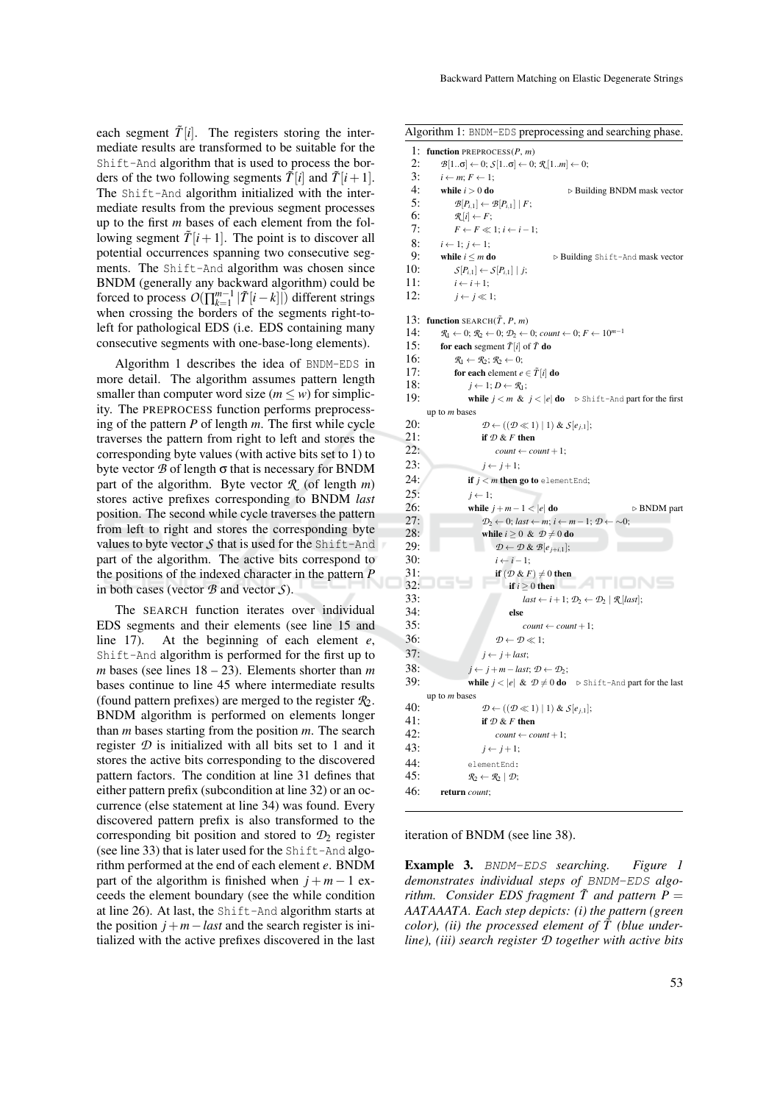each segment  $\tilde{T}[i]$ . The registers storing the intermediate results are transformed to be suitable for the Shift-And algorithm that is used to process the borders of the two following segments  $\tilde{T}[i]$  and  $\tilde{T}[i+1]$ . The Shift-And algorithm initialized with the intermediate results from the previous segment processes up to the first *m* bases of each element from the following segment  $\tilde{T}[i+1]$ . The point is to discover all potential occurrences spanning two consecutive segments. The Shift-And algorithm was chosen since BNDM (generally any backward algorithm) could be forced to process  $O(\prod_{k=1}^{m-1} |\tilde{T}[i-k]|)$  different strings when crossing the borders of the segments right-toleft for pathological EDS (i.e. EDS containing many consecutive segments with one-base-long elements).

Algorithm 1 describes the idea of BNDM-EDS in more detail. The algorithm assumes pattern length smaller than computer word size ( $m \leq w$ ) for simplicity. The PREPROCESS function performs preprocessing of the pattern *P* of length *m*. The first while cycle traverses the pattern from right to left and stores the corresponding byte values (with active bits set to 1) to byte vector  $\mathcal B$  of length  $\sigma$  that is necessary for BNDM part of the algorithm. Byte vector *R* (of length *m*) stores active prefixes corresponding to BNDM *last* position. The second while cycle traverses the pattern from left to right and stores the corresponding byte values to byte vector  $S$  that is used for the Shift-And part of the algorithm. The active bits correspond to the positions of the indexed character in the pattern *P* in both cases (vector *B* and vector *S*).

The SEARCH function iterates over individual EDS segments and their elements (see line 15 and line 17). At the beginning of each element *e*, Shift-And algorithm is performed for the first up to *m* bases (see lines 18 – 23). Elements shorter than *m* bases continue to line 45 where intermediate results (found pattern prefixes) are merged to the register  $\mathcal{R}_2$ . BNDM algorithm is performed on elements longer than *m* bases starting from the position *m*. The search register  $D$  is initialized with all bits set to 1 and it stores the active bits corresponding to the discovered pattern factors. The condition at line 31 defines that either pattern prefix (subcondition at line 32) or an occurrence (else statement at line 34) was found. Every discovered pattern prefix is also transformed to the corresponding bit position and stored to  $\mathcal{D}_2$  register (see line 33) that is later used for the Shift-And algorithm performed at the end of each element *e*. BNDM part of the algorithm is finished when  $j + m - 1$  exceeds the element boundary (see the while condition at line 26). At last, the Shift-And algorithm starts at the position  $j + m - last$  and the search register is initialized with the active prefixes discovered in the last

Algorithm 1: BNDM-EDS preprocessing and searching phase.

| 1:  | function PREPROCESS $(P, m)$                                                                                                                |
|-----|---------------------------------------------------------------------------------------------------------------------------------------------|
| 2:  | $\mathcal{B}[1\sigma] \leftarrow 0; \mathcal{S}[1\sigma] \leftarrow 0; \mathcal{R}[1m] \leftarrow 0;$                                       |
| 3:  | $i \leftarrow m; F \leftarrow 1;$                                                                                                           |
| 4:  | while $i > 0$ do<br>$\triangleright$ Building BNDM mask vector                                                                              |
| 5:  | $\mathcal{B}[P_{i,1}] \leftarrow \mathcal{B}[P_{i,1}]   F;$                                                                                 |
| 6:  | $\mathcal{R}[i] \leftarrow F;$                                                                                                              |
| 7:  | $F \leftarrow F \ll 1; i \leftarrow i-1;$                                                                                                   |
| 8:  | $i \leftarrow 1; j \leftarrow 1;$                                                                                                           |
| 9:  | while $i \leq m$ do<br>▷ Building Shift-And mask vector                                                                                     |
| 10: | $S[P_{i,1}] \leftarrow S[P_{i,1}] \mid j;$                                                                                                  |
| 11: | $i \leftarrow i+1$ ;                                                                                                                        |
| 12: | $i \leftarrow i \ll 1$ ;                                                                                                                    |
|     |                                                                                                                                             |
| 13: | function SEARCH $(\tilde{T}, P, m)$                                                                                                         |
| 14: | $\mathcal{R}_1 \leftarrow 0$ ; $\mathcal{R}_2 \leftarrow 0$ ; $\mathcal{D}_2 \leftarrow 0$ ; count $\leftarrow 0$ ; $F \leftarrow 10^{m-1}$ |
| 15: | for each segment $\tilde{T}[i]$ of $\tilde{T}$ do                                                                                           |
| 16: | $\mathcal{R}_1 \leftarrow \mathcal{R}_2$ ; $\mathcal{R}_2 \leftarrow 0$ ;                                                                   |
| 17: | for each element $e \in \overline{T}[i]$ do                                                                                                 |
| 18: | $j \leftarrow 1; D \leftarrow \mathcal{R}_1;$                                                                                               |
| 19: | <b>while</b> $j < m$ & $j <  e $ <b>do</b> $\triangleright$ Shift-And part for the first                                                    |
|     | up to <i>m</i> bases                                                                                                                        |
| 20: | $\mathcal{D} \leftarrow ((\mathcal{D} \ll 1)   1) \& \mathcal{S}[e_{j,1}];$                                                                 |
| 21: | if $D & F$ then                                                                                                                             |
| 22: | $count \leftarrow count + 1;$                                                                                                               |
| 23: | $j \leftarrow j+1;$                                                                                                                         |
| 24: | if $j < m$ then go to element End;                                                                                                          |
| 25: | $j \leftarrow 1$ ;                                                                                                                          |
| 26: | while $j+m-1 <  e $ do<br>$\triangleright$ BNDM part                                                                                        |
| 27: | $\mathcal{D}_2 \leftarrow 0$ ; last $\leftarrow m$ ; i $\leftarrow m-1$ ; $\mathcal{D} \leftarrow \sim 0$ ;                                 |
| 28: | while $i \geq 0$ & $\mathcal{D} \neq 0$ do                                                                                                  |
| 29: | $\mathcal{D} \leftarrow \mathcal{D} \& \mathcal{B}[e_{i+i,1}];$                                                                             |
| 30: | $i \leftarrow i-1;$                                                                                                                         |
| 31: | if $(D & F) \neq 0$ then                                                                                                                    |
| 32: | 9 T F<br>if $i \geq 0$ then                                                                                                                 |
| 33: | $last \leftarrow i + 1; \mathcal{D}_2 \leftarrow \mathcal{D}_2   \mathcal{R}[last];$                                                        |
| 34: | else                                                                                                                                        |
| 35: | $count \leftarrow count + 1;$                                                                                                               |
| 36: | $\mathcal{D} \leftarrow \mathcal{D} \ll 1$ ;                                                                                                |
| 37: | $i \leftarrow j + last;$                                                                                                                    |
| 38: |                                                                                                                                             |
| 39: | $j \leftarrow j + m - last; \mathcal{D} \leftarrow \mathcal{D}_2;$                                                                          |
|     | <b>while</b> $j <  e  \& \mathcal{D} \neq 0$ <b>do</b> $\triangleright$ Shift-And part for the last                                         |
| 40: | up to $m$ bases                                                                                                                             |
| 41: | $\mathcal{D} \leftarrow ((\mathcal{D} \ll 1)   1) \& \mathcal{S}[e_{i,1}];$                                                                 |
| 42: | if $D & F$ then                                                                                                                             |
|     | $count \leftarrow count + 1;$                                                                                                               |
| 43: | $j \leftarrow j+1;$                                                                                                                         |
| 44: | elementEnd:                                                                                                                                 |
| 45: | $\mathcal{R}_2 \leftarrow \mathcal{R}_2   \mathcal{D};$                                                                                     |
| 46: | return count;                                                                                                                               |

iteration of BNDM (see line 38).

Example 3. BNDM-EDS *searching. Figure 1 demonstrates individual steps of* BNDM-EDS *algorithm.* Consider EDS fragment  $\tilde{T}$  and pattern  $\tilde{P} =$ *AATAAATA. Each step depicts: (i) the pattern (green color), (ii) the processed element of*  $\tilde{T}$  *(blue underline), (iii) search register D together with active bits*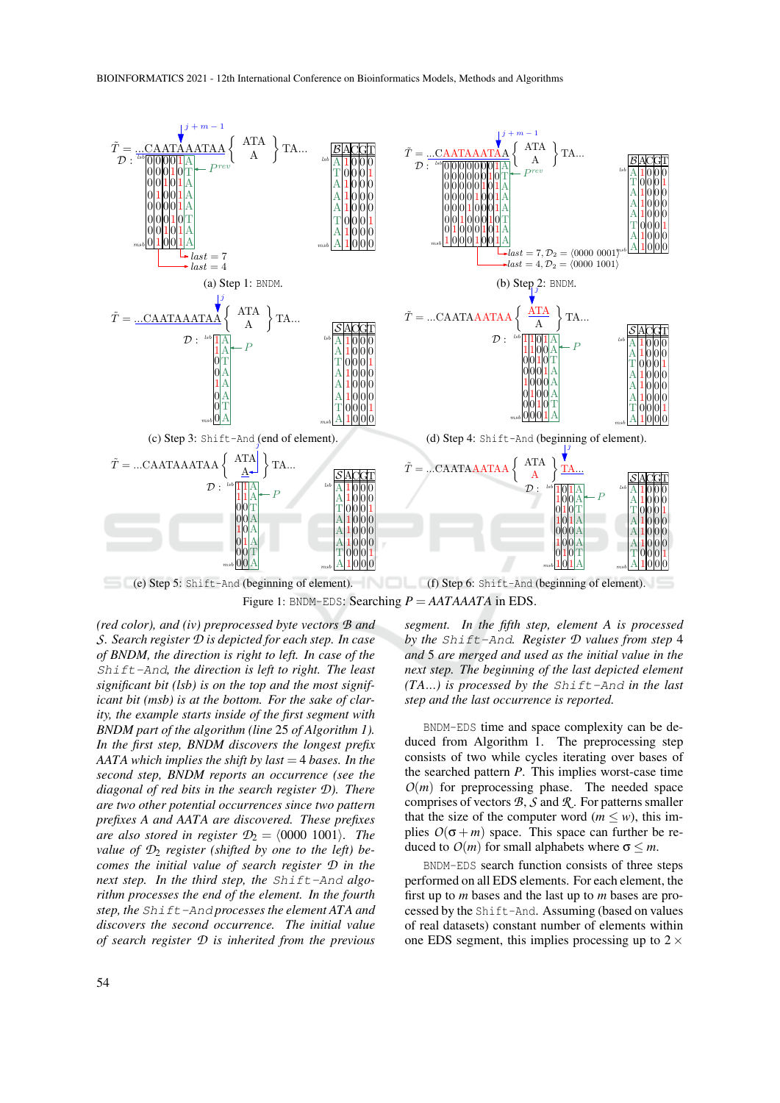

Figure 1: BNDM-EDS: Searching  $P = AATAAATA$  in EDS.

*(red color), and (iv) preprocessed byte vectors B and S. Search register D is depicted for each step. In case of BNDM, the direction is right to left. In case of the* Shift-And*, the direction is left to right. The least significant bit (lsb) is on the top and the most significant bit (msb) is at the bottom. For the sake of clarity, the example starts inside of the first segment with BNDM part of the algorithm (line* 25 *of Algorithm 1). In the first step, BNDM discovers the longest prefix AATA which implies the shift by last* = 4 *bases. In the second step, BNDM reports an occurrence (see the diagonal of red bits in the search register D). There are two other potential occurrences since two pattern prefixes A and AATA are discovered. These prefixes are also stored in register*  $\mathcal{D}_2 = \langle 0000 \ 1001 \rangle$ *. The value of D*<sup>2</sup> *register (shifted by one to the left) becomes the initial value of search register D in the next step. In the third step, the* Shift-And *algorithm processes the end of the element. In the fourth step, the* Shift-And *processes the element ATA and discovers the second occurrence. The initial value of search register D is inherited from the previous* *segment. In the fifth step, element A is processed by the* Shift-And*. Register D values from step* 4 *and* 5 *are merged and used as the initial value in the next step. The beginning of the last depicted element (TA*...*) is processed by the* Shift-And *in the last step and the last occurrence is reported.*

BNDM-EDS time and space complexity can be deduced from Algorithm 1. The preprocessing step consists of two while cycles iterating over bases of the searched pattern *P*. This implies worst-case time  $O(m)$  for preprocessing phase. The needed space comprises of vectors *B*, *S* and *R* . For patterns smaller that the size of the computer word ( $m \leq w$ ), this implies  $O(\sigma + m)$  space. This space can further be reduced to  $O(m)$  for small alphabets where  $\sigma \leq m$ .

BNDM-EDS search function consists of three steps performed on all EDS elements. For each element, the first up to *m* bases and the last up to *m* bases are processed by the Shift-And. Assuming (based on values of real datasets) constant number of elements within one EDS segment, this implies processing up to  $2 \times$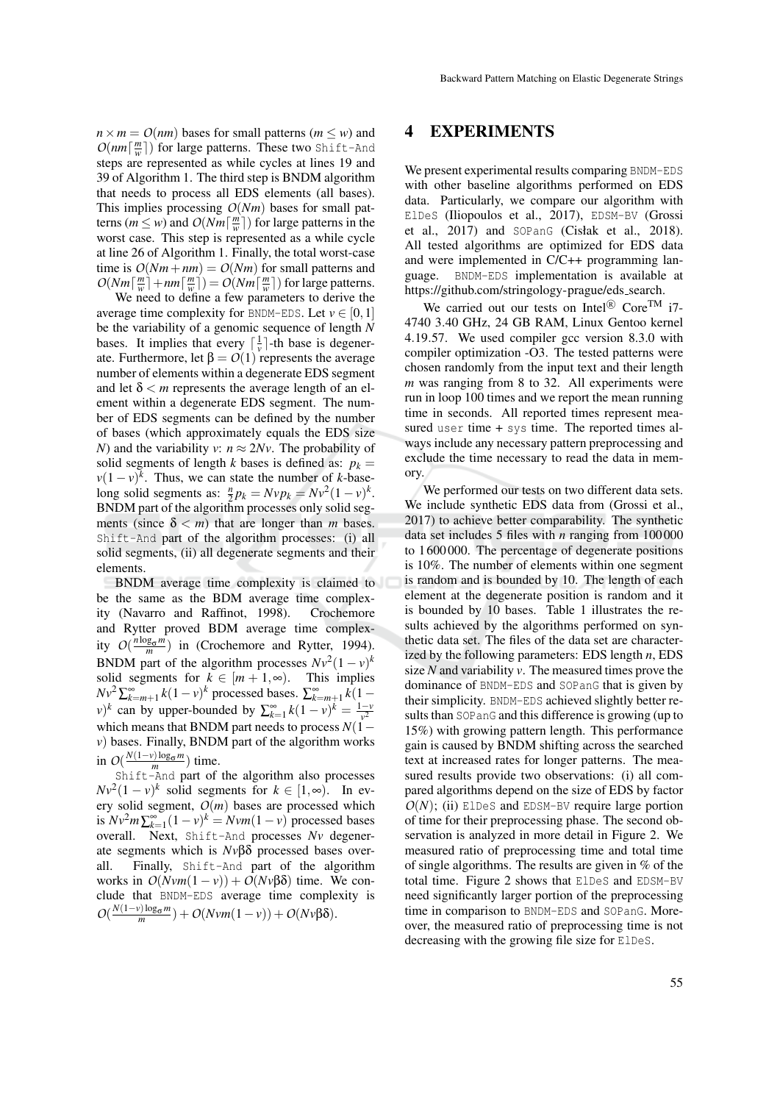$n \times m = O(nm)$  bases for small patterns (*m*  $\leq w$ ) and  $O(nm\lceil \frac{m}{w} \rceil)$  for large patterns. These two Shift-And steps are represented as while cycles at lines 19 and 39 of Algorithm 1. The third step is BNDM algorithm that needs to process all EDS elements (all bases). This implies processing *O*(*Nm*) bases for small patterns ( $m \leq w$ ) and  $O(Nm\lceil \frac{m}{w} \rceil)$  for large patterns in the worst case. This step is represented as a while cycle at line 26 of Algorithm 1. Finally, the total worst-case time is  $O(Nm + nm) = O(Nm)$  for small patterns and  $O(Nm\left\lceil \frac{m}{w} \right\rceil + nm\left\lceil \frac{m}{w} \right\rceil) = O(Nm\left\lceil \frac{m}{w} \right\rceil)$  for large patterns.

We need to define a few parameters to derive the average time complexity for BNDM-EDS. Let  $v \in [0,1]$ be the variability of a genomic sequence of length *N* bases. It implies that every  $\left[\frac{1}{v}\right]$ -th base is degenerate. Furthermore, let  $β = O(1)$  represents the average number of elements within a degenerate EDS segment and let  $\delta < m$  represents the average length of an element within a degenerate EDS segment. The number of EDS segments can be defined by the number of bases (which approximately equals the EDS size *N*) and the variability *v*:  $n \approx 2Nv$ . The probability of solid segments of length *k* bases is defined as:  $p_k =$  $v(1-v)^k$ . Thus, we can state the number of *k*-baselong solid segments as:  $\frac{n}{2}p_k = Nvp_k = Nv^2(1-v)^k$ . BNDM part of the algorithm processes only solid segments (since  $\delta < m$ ) that are longer than *m* bases. Shift-And part of the algorithm processes: (i) all solid segments, (ii) all degenerate segments and their elements.

BNDM average time complexity is claimed to be the same as the BDM average time complexity (Navarro and Raffinot, 1998). Crochemore and Rytter proved BDM average time complexity  $O(\frac{n \log_{\sigma} m}{m})$  in (Crochemore and Rytter, 1994). BNDM part of the algorithm processes  $Nv^2(1-v)^k$ solid segments for  $k \in [m+1,\infty)$ . This implies *Nv*<sup>2</sup> ∑ $\sum_{k=m+1}^{\infty} k(1-v)^k$  processed bases.  $\sum_{k=m+1}^{\infty} k(1-v)^k$  $(v)^k$  can by upper-bounded by  $\sum_{k=1}^{\infty} k(1-v)^k = \frac{1-v^2}{v^2}$ which means that BNDM part needs to process *N*(1− *v*) bases. Finally, BNDM part of the algorithm works in  $O(\frac{N(1-\nu)\log_{\sigma}m}{m})$  time.

Shift-And part of the algorithm also processes  $Nv^2(1-v)^k$  solid segments for  $k \in [1,\infty)$ . In every solid segment,  $O(m)$  bases are processed which is  $Nv^2m\sum_{k=1}^{\infty}(1-v)^k = Nvm(1-v)$  processed bases overall. Next, Shift-And processes *Nv* degenerate segments which is *Nv*βδ processed bases overall. Finally, Shift-And part of the algorithm works in  $O(Nv m(1 − v)) + O(Nv β δ)$  time. We conclude that BNDM-EDS average time complexity is  $O(\frac{N(1-\nu)\log_{\sigma}m}{m}) + O(N\nu m(1-\nu)) + O(N\nu\beta\delta).$ 

#### 4 EXPERIMENTS

We present experimental results comparing BNDM-EDS with other baseline algorithms performed on EDS data. Particularly, we compare our algorithm with ElDeS (Iliopoulos et al., 2017), EDSM-BV (Grossi et al., 2017) and SOPanG (Cisłak et al., 2018). All tested algorithms are optimized for EDS data and were implemented in C/C++ programming language. BNDM-EDS implementation is available at https://github.com/stringology-prague/eds search.

We carried out our tests on Intel<sup>®</sup> Core<sup>TM</sup> i7-4740 3.40 GHz, 24 GB RAM, Linux Gentoo kernel 4.19.57. We used compiler gcc version 8.3.0 with compiler optimization -O3. The tested patterns were chosen randomly from the input text and their length *m* was ranging from 8 to 32. All experiments were run in loop 100 times and we report the mean running time in seconds. All reported times represent measured user time  $+$  sys time. The reported times always include any necessary pattern preprocessing and exclude the time necessary to read the data in memory.

We performed our tests on two different data sets. We include synthetic EDS data from (Grossi et al., 2017) to achieve better comparability. The synthetic data set includes 5 files with *n* ranging from 100 000 to 1 600 000. The percentage of degenerate positions is 10%. The number of elements within one segment is random and is bounded by 10. The length of each element at the degenerate position is random and it is bounded by 10 bases. Table 1 illustrates the results achieved by the algorithms performed on synthetic data set. The files of the data set are characterized by the following parameters: EDS length *n*, EDS size *N* and variability *v*. The measured times prove the dominance of BNDM-EDS and SOPanG that is given by their simplicity. BNDM-EDS achieved slightly better results than SOPanG and this difference is growing (up to 15%) with growing pattern length. This performance gain is caused by BNDM shifting across the searched text at increased rates for longer patterns. The measured results provide two observations: (i) all compared algorithms depend on the size of EDS by factor  $O(N)$ ; (ii) ElDeS and EDSM-BV require large portion of time for their preprocessing phase. The second observation is analyzed in more detail in Figure 2. We measured ratio of preprocessing time and total time of single algorithms. The results are given in % of the total time. Figure 2 shows that ElDeS and EDSM-BV need significantly larger portion of the preprocessing time in comparison to BNDM-EDS and SOPanG. Moreover, the measured ratio of preprocessing time is not decreasing with the growing file size for ElDeS.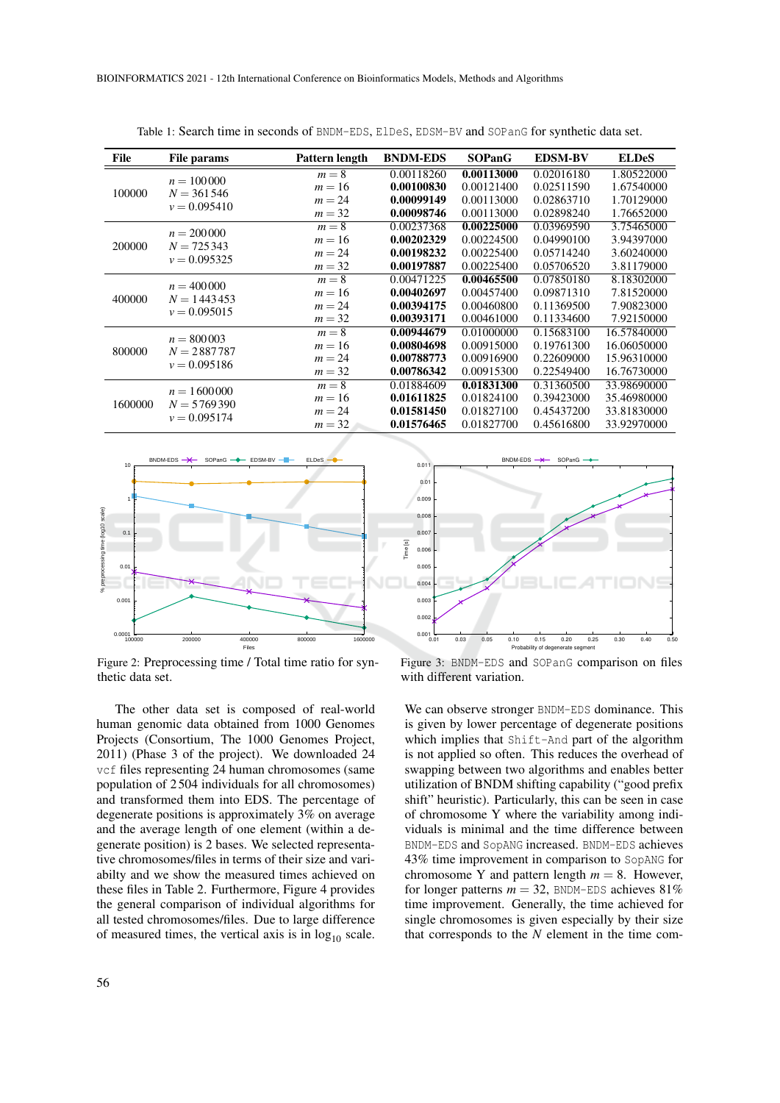| File    | <b>File params</b>                              | Pattern length | <b>BNDM-EDS</b> | <b>SOPanG</b> | <b>EDSM-BV</b> | <b>ELDeS</b> |
|---------|-------------------------------------------------|----------------|-----------------|---------------|----------------|--------------|
| 100000  |                                                 | $m = 8$        | 0.00118260      | 0.00113000    | 0.02016180     | 1.80522000   |
|         | $n = 100000$                                    | $m=16$         | 0.00100830      | 0.00121400    | 0.02511590     | 1.67540000   |
|         | $N = 361546$                                    | $m = 24$       | 0.00099149      | 0.00113000    | 0.02863710     | 1.70129000   |
|         | $v = 0.095410$                                  | $m = 32$       | 0.00098746      | 0.00113000    | 0.02898240     | 1.76652000   |
| 200000  |                                                 | $m=8$          | 0.00237368      | 0.00225000    | 0.03969590     | 3.75465000   |
|         | $n = 200000$<br>$N = 725343$                    | $m=16$         | 0.00202329      | 0.00224500    | 0.04990100     | 3.94397000   |
|         |                                                 | $m = 24$       | 0.00198232      | 0.00225400    | 0.05714240     | 3.60240000   |
|         | $v = 0.095325$                                  | $m = 32$       | 0.00197887      | 0.00225400    | 0.05706520     | 3.81179000   |
|         |                                                 | $m=8$          | 0.00471225      | 0.00465500    | 0.07850180     | 8.18302000   |
| 400000  | $n = 400000$                                    | $m=16$         | 0.00402697      | 0.00457400    | 0.09871310     | 7.81520000   |
|         | $N = 1443453$                                   | $m = 24$       | 0.00394175      | 0.00460800    | 0.11369500     | 7.90823000   |
|         | $v = 0.095015$                                  | $m = 32$       | 0.00393171      | 0.00461000    | 0.11334600     | 7.92150000   |
|         |                                                 | $m=8$          | 0.00944679      | 0.01000000    | 0.15683100     | 16.57840000  |
|         | $n = 800003$<br>$N = 2887787$<br>$v = 0.095186$ | $m=16$         | 0.00804698      | 0.00915000    | 0.19761300     | 16.06050000  |
| 800000  |                                                 | $m = 24$       | 0.00788773      | 0.00916900    | 0.22609000     | 15.96310000  |
|         |                                                 | $m = 32$       | 0.00786342      | 0.00915300    | 0.22549400     | 16.76730000  |
|         | $n = 1600000$                                   | $m=8$          | 0.01884609      | 0.01831300    | 0.31360500     | 33.98690000  |
| 1600000 | $N = 5769390$                                   | $m=16$         | 0.01611825      | 0.01824100    | 0.39423000     | 35.46980000  |
|         |                                                 | $m = 24$       | 0.01581450      | 0.01827100    | 0.45437200     | 33.81830000  |
|         | $v = 0.095174$                                  | $m = 32$       | 0.01576465      | 0.01827700    | 0.45616800     | 33.92970000  |

Time [s]

Table 1: Search time in seconds of BNDM-EDS, ElDeS, EDSM-BV and SOPanG for synthetic data set.



Figure 2: Preprocessing time / Total time ratio for synthetic data set.

The other data set is composed of real-world human genomic data obtained from 1000 Genomes Projects (Consortium, The 1000 Genomes Project, 2011) (Phase 3 of the project). We downloaded 24 vcf files representing 24 human chromosomes (same population of 2 504 individuals for all chromosomes) and transformed them into EDS. The percentage of degenerate positions is approximately 3% on average and the average length of one element (within a degenerate position) is 2 bases. We selected representative chromosomes/files in terms of their size and variabilty and we show the measured times achieved on these files in Table 2. Furthermore, Figure 4 provides the general comparison of individual algorithms for all tested chromosomes/files. Due to large difference of measured times, the vertical axis is in  $log_{10}$  scale.



BNDM-EDS -- SOPanG

Figure 3: BNDM-EDS and SOPanG comparison on files with different variation.

We can observe stronger BNDM-EDS dominance. This is given by lower percentage of degenerate positions which implies that Shift-And part of the algorithm is not applied so often. This reduces the overhead of swapping between two algorithms and enables better utilization of BNDM shifting capability ("good prefix shift" heuristic). Particularly, this can be seen in case of chromosome Y where the variability among individuals is minimal and the time difference between BNDM-EDS and SopANG increased. BNDM-EDS achieves 43% time improvement in comparison to SopANG for chromosome Y and pattern length  $m = 8$ . However, for longer patterns  $m = 32$ , BNDM-EDS achieves  $81\%$ time improvement. Generally, the time achieved for single chromosomes is given especially by their size that corresponds to the *N* element in the time com-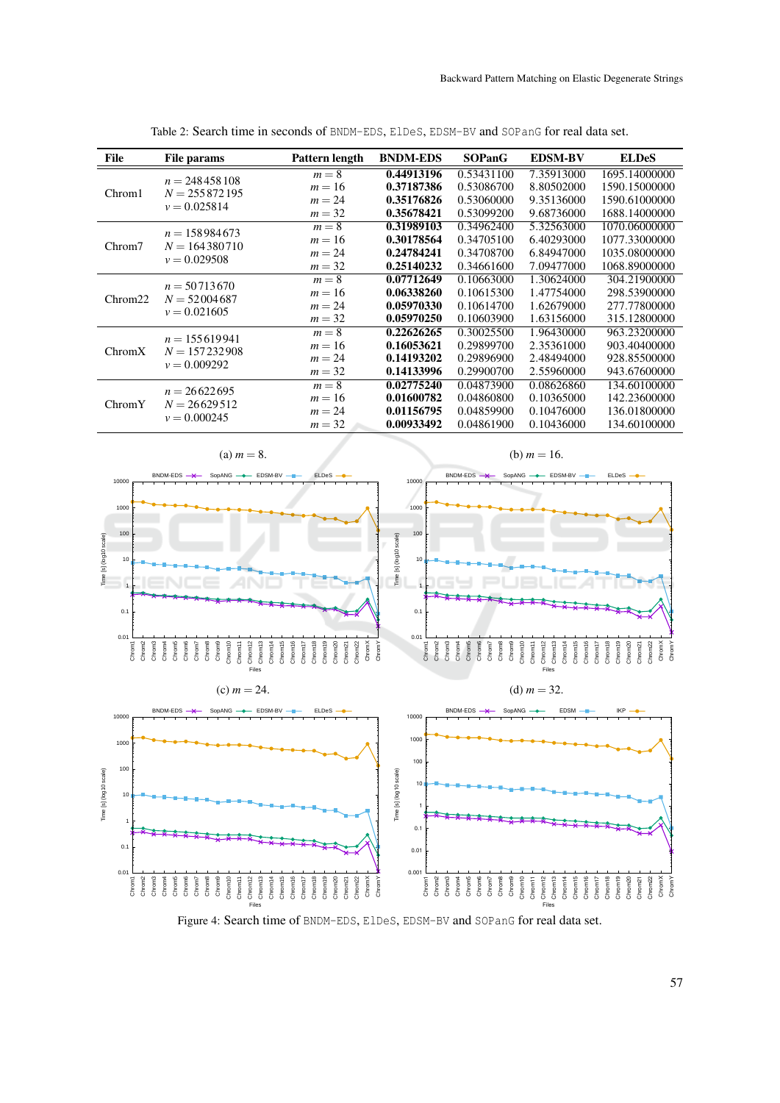| <b>File</b> | File params                                          | Pattern length | <b>BNDM-EDS</b> | <b>SOPanG</b> | <b>EDSM-BV</b> | <b>ELDeS</b>  |
|-------------|------------------------------------------------------|----------------|-----------------|---------------|----------------|---------------|
| Chrom1      |                                                      | $m=8$          | 0.44913196      | 0.53431100    | 7.35913000     | 1695.14000000 |
|             | $n = 248458108$<br>$N = 255872195$<br>$v = 0.025814$ | $m=16$         | 0.37187386      | 0.53086700    | 8.80502000     | 1590.15000000 |
|             |                                                      | $m = 24$       | 0.35176826      | 0.53060000    | 9.35136000     | 1590.61000000 |
|             |                                                      | $m = 32$       | 0.35678421      | 0.53099200    | 9.68736000     | 1688.14000000 |
| Chrom7      | $n = 158984673$                                      | $m=8$          | 0.31989103      | 0.34962400    | 5.32563000     | 1070.06000000 |
|             | $N = 164380710$<br>$v = 0.029508$                    | $m=16$         | 0.30178564      | 0.34705100    | 6.40293000     | 1077.33000000 |
|             |                                                      | $m = 24$       | 0.24784241      | 0.34708700    | 6.84947000     | 1035.08000000 |
|             |                                                      | $m = 32$       | 0.25140232      | 0.34661600    | 7.09477000     | 1068.89000000 |
| Chrom22     | $n = 50713670$                                       | $m=8$          | 0.07712649      | 0.10663000    | 1.30624000     | 304.21900000  |
|             | $N = 52004687$                                       | $m=16$         | 0.06338260      | 0.10615300    | 1.47754000     | 298.53900000  |
|             | $v = 0.021605$                                       | $m = 24$       | 0.05970330      | 0.10614700    | 1.62679000     | 277.77800000  |
|             |                                                      | $m = 32$       | 0.05970250      | 0.10603900    | 1.63156000     | 315.12800000  |
| ChromX      | $n = 155619941$                                      | $m=8$          | 0.22626265      | 0.30025500    | 1.96430000     | 963.23200000  |
|             | $N = 157232908$<br>$v = 0.009292$                    | $m=16$         | 0.16053621      | 0.29899700    | 2.35361000     | 903.40400000  |
|             |                                                      | $m = 24$       | 0.14193202      | 0.29896900    | 2.48494000     | 928.85500000  |
|             |                                                      | $m = 32$       | 0.14133996      | 0.29900700    | 2.55960000     | 943.67600000  |
| ChromY      | $n = 26622695$                                       | $m=8$          | 0.02775240      | 0.04873900    | 0.08626860     | 134.60100000  |
|             | $N = 26629512$                                       | $m=16$         | 0.01600782      | 0.04860800    | 0.10365000     | 142.23600000  |
|             | $v = 0.000245$                                       | $m = 24$       | 0.01156795      | 0.04859900    | 0.10476000     | 136.01800000  |
|             |                                                      | $m = 32$       | 0.00933492      | 0.04861900    | 0.10436000     | 134.60100000  |

Table 2: Search time in seconds of BNDM-EDS, ElDeS, EDSM-BV and SOPanG for real data set.



Figure 4: Search time of BNDM-EDS, ElDeS, EDSM-BV and SOPanG for real data set.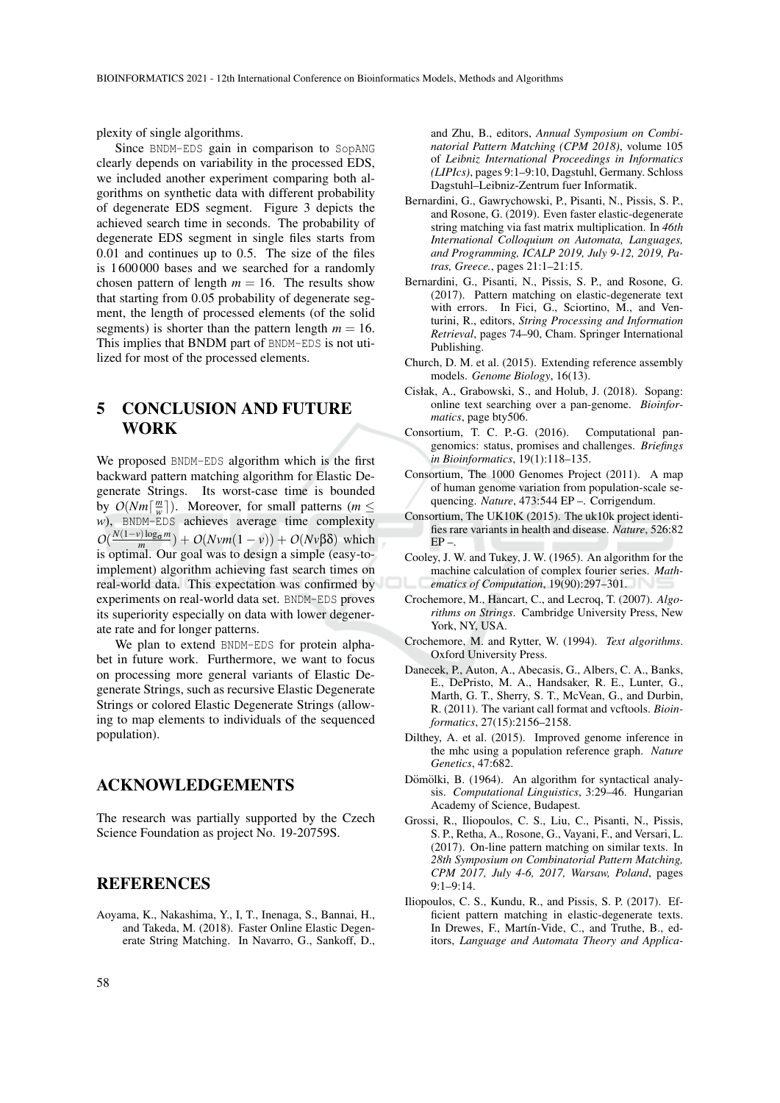plexity of single algorithms.

Since BNDM-EDS gain in comparison to SopANG clearly depends on variability in the processed EDS, we included another experiment comparing both algorithms on synthetic data with different probability of degenerate EDS segment. Figure 3 depicts the achieved search time in seconds. The probability of degenerate EDS segment in single files starts from 0.01 and continues up to 0.5. The size of the files is 1 600 000 bases and we searched for a randomly chosen pattern of length  $m = 16$ . The results show that starting from 0.05 probability of degenerate segment, the length of processed elements (of the solid segments) is shorter than the pattern length  $m = 16$ . This implies that BNDM part of BNDM-EDS is not utilized for most of the processed elements.

5 CONCLUSION AND FUTURE WORK

We proposed BNDM-EDS algorithm which is the first backward pattern matching algorithm for Elastic Degenerate Strings. Its worst-case time is bounded by  $O(Nm\lceil \frac{m}{w} \rceil)$ . Moreover, for small patterns (*m*  $\leq$ *w*), BNDM-EDS achieves average time complexity  $O(\frac{N(1-v)\log_{\sigma} m}{m}) + O(Nvm(1-v)) + O(Nv\beta\delta)$  which is optimal. Our goal was to design a simple (easy-toimplement) algorithm achieving fast search times on real-world data. This expectation was confirmed by experiments on real-world data set. BNDM-EDS proves its superiority especially on data with lower degenerate rate and for longer patterns.

We plan to extend BNDM-EDS for protein alphabet in future work. Furthermore, we want to focus on processing more general variants of Elastic Degenerate Strings, such as recursive Elastic Degenerate Strings or colored Elastic Degenerate Strings (allowing to map elements to individuals of the sequenced population).

#### ACKNOWLEDGEMENTS

The research was partially supported by the Czech Science Foundation as project No. 19-20759S.

#### **REFERENCES**

Aoyama, K., Nakashima, Y., I, T., Inenaga, S., Bannai, H., and Takeda, M. (2018). Faster Online Elastic Degenerate String Matching. In Navarro, G., Sankoff, D., and Zhu, B., editors, *Annual Symposium on Combinatorial Pattern Matching (CPM 2018)*, volume 105 of *Leibniz International Proceedings in Informatics (LIPIcs)*, pages 9:1–9:10, Dagstuhl, Germany. Schloss Dagstuhl–Leibniz-Zentrum fuer Informatik.

- Bernardini, G., Gawrychowski, P., Pisanti, N., Pissis, S. P., and Rosone, G. (2019). Even faster elastic-degenerate string matching via fast matrix multiplication. In *46th International Colloquium on Automata, Languages, and Programming, ICALP 2019, July 9-12, 2019, Patras, Greece.*, pages 21:1–21:15.
- Bernardini, G., Pisanti, N., Pissis, S. P., and Rosone, G. (2017). Pattern matching on elastic-degenerate text with errors. In Fici, G., Sciortino, M., and Venturini, R., editors, *String Processing and Information Retrieval*, pages 74–90, Cham. Springer International Publishing.
- Church, D. M. et al. (2015). Extending reference assembly models. *Genome Biology*, 16(13).
- Cisłak, A., Grabowski, S., and Holub, J. (2018). Sopang: online text searching over a pan-genome. *Bioinformatics*, page bty506.
- Consortium, T. C. P.-G. (2016). Computational pangenomics: status, promises and challenges. *Briefings in Bioinformatics*, 19(1):118–135.
- Consortium, The 1000 Genomes Project (2011). A map of human genome variation from population-scale sequencing. *Nature*, 473:544 EP –. Corrigendum.
- Consortium, The UK10K (2015). The uk10k project identifies rare variants in health and disease. *Nature*, 526:82  $EP =$
- Cooley, J. W. and Tukey, J. W. (1965). An algorithm for the machine calculation of complex fourier series. *Mathematics of Computation*, 19(90):297–301.
- Crochemore, M., Hancart, C., and Lecroq, T. (2007). *Algorithms on Strings*. Cambridge University Press, New York, NY, USA.
- Crochemore, M. and Rytter, W. (1994). *Text algorithms*. Oxford University Press.
- Danecek, P., Auton, A., Abecasis, G., Albers, C. A., Banks, E., DePristo, M. A., Handsaker, R. E., Lunter, G., Marth, G. T., Sherry, S. T., McVean, G., and Durbin, R. (2011). The variant call format and vcftools. *Bioinformatics*, 27(15):2156–2158.
- Dilthey, A. et al. (2015). Improved genome inference in the mhc using a population reference graph. *Nature Genetics*, 47:682.
- Dömölki, B. (1964). An algorithm for syntactical analysis. *Computational Linguistics*, 3:29–46. Hungarian Academy of Science, Budapest.
- Grossi, R., Iliopoulos, C. S., Liu, C., Pisanti, N., Pissis, S. P., Retha, A., Rosone, G., Vayani, F., and Versari, L. (2017). On-line pattern matching on similar texts. In *28th Symposium on Combinatorial Pattern Matching, CPM 2017, July 4-6, 2017, Warsaw, Poland*, pages 9:1–9:14.
- Iliopoulos, C. S., Kundu, R., and Pissis, S. P. (2017). Efficient pattern matching in elastic-degenerate texts. In Drewes, F., Martín-Vide, C., and Truthe, B., editors, *Language and Automata Theory and Applica-*